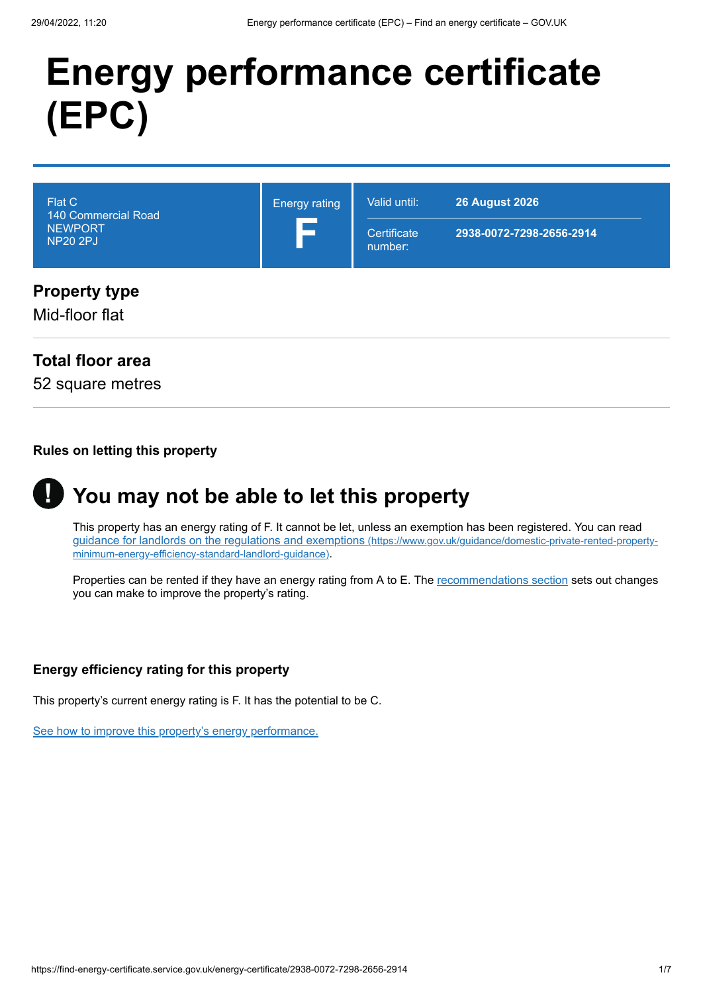# **Energy performance certificate (EPC)**



### **Total floor area**

52 square metres

### **Rules on letting this property**

#### **You may not be able to let this property !**

This property has an energy rating of F. It cannot be let, unless an exemption has been registered. You can read [guidance for landlords on the regulations and exemptions](https://www.gov.uk/guidance/domestic-private-rented-property-minimum-energy-efficiency-standard-landlord-guidance) (https://www.gov.uk/guidance/domestic-private-rented-propertyminimum-energy-efficiency-standard-landlord-guidance).

Properties can be rented if they have an energy rating from A to E. The [recommendations section](#page-3-0) sets out changes you can make to improve the property's rating.

### **Energy efficiency rating for this property**

This property's current energy rating is F. It has the potential to be C.

[See how to improve this property's energy performance.](#page-3-0)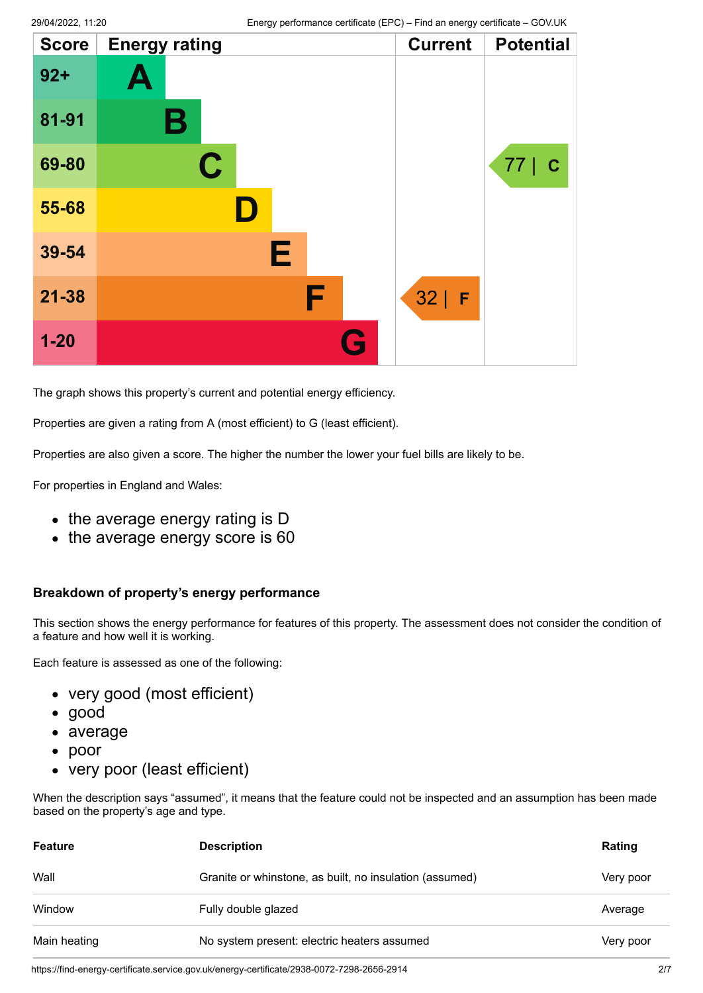| <b>Score</b> | <b>Energy rating</b> |   | <b>Current</b> | <b>Potential</b>   |
|--------------|----------------------|---|----------------|--------------------|
| $92+$        | A                    |   |                |                    |
| 81-91        | В                    |   |                |                    |
| 69-80        | $\mathbf C$          |   |                | 77 <br>$\mathbf C$ |
| 55-68        |                      |   |                |                    |
| 39-54        |                      | Е |                |                    |
| $21 - 38$    |                      | F | $32$   F       |                    |
| $1 - 20$     |                      |   |                |                    |

The graph shows this property's current and potential energy efficiency.

Properties are given a rating from A (most efficient) to G (least efficient).

Properties are also given a score. The higher the number the lower your fuel bills are likely to be.

For properties in England and Wales:

- the average energy rating is D
- the average energy score is 60

#### **Breakdown of property's energy performance**

This section shows the energy performance for features of this property. The assessment does not consider the condition of a feature and how well it is working.

Each feature is assessed as one of the following:

- very good (most efficient)
- good
- average
- poor
- very poor (least efficient)

When the description says "assumed", it means that the feature could not be inspected and an assumption has been made based on the property's age and type.

| <b>Feature</b> | <b>Description</b>                                      | Rating    |
|----------------|---------------------------------------------------------|-----------|
| Wall           | Granite or whinstone, as built, no insulation (assumed) | Very poor |
| Window         | Fully double glazed                                     | Average   |
| Main heating   | No system present: electric heaters assumed             | Very poor |

https://find-energy-certificate.service.gov.uk/energy-certificate/2938-0072-7298-2656-2914 2/7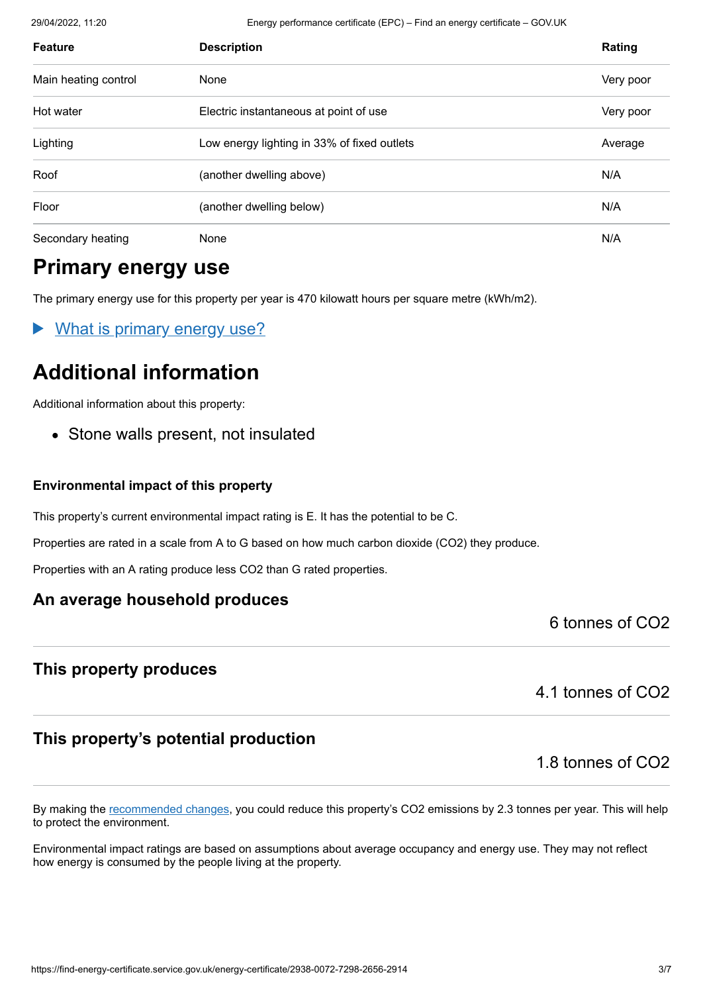29/04/2022, 11:20 Energy performance certificate (EPC) – Find an energy certificate – GOV.UK

| <b>Feature</b>       | <b>Description</b>                          | Rating    |
|----------------------|---------------------------------------------|-----------|
| Main heating control | None                                        | Very poor |
| Hot water            | Electric instantaneous at point of use      | Very poor |
| Lighting             | Low energy lighting in 33% of fixed outlets | Average   |
| Roof                 | (another dwelling above)                    | N/A       |
| Floor                | (another dwelling below)                    | N/A       |
| Secondary heating    | None                                        | N/A       |

# **Primary energy use**

The primary energy use for this property per year is 470 kilowatt hours per square metre (kWh/m2).

What is primary energy use?

# **Additional information**

Additional information about this property:

• Stone walls present, not insulated

### **Environmental impact of this property**

This property's current environmental impact rating is E. It has the potential to be C.

Properties are rated in a scale from A to G based on how much carbon dioxide (CO2) they produce.

Properties with an A rating produce less CO2 than G rated properties.

### **An average household produces**

6 tonnes of CO2

### **This property produces**

4.1 tonnes of CO2

### **This property's potential production**

1.8 tonnes of CO2

By making the [recommended changes](#page-3-0), you could reduce this property's CO2 emissions by 2.3 tonnes per year. This will help to protect the environment.

Environmental impact ratings are based on assumptions about average occupancy and energy use. They may not reflect how energy is consumed by the people living at the property.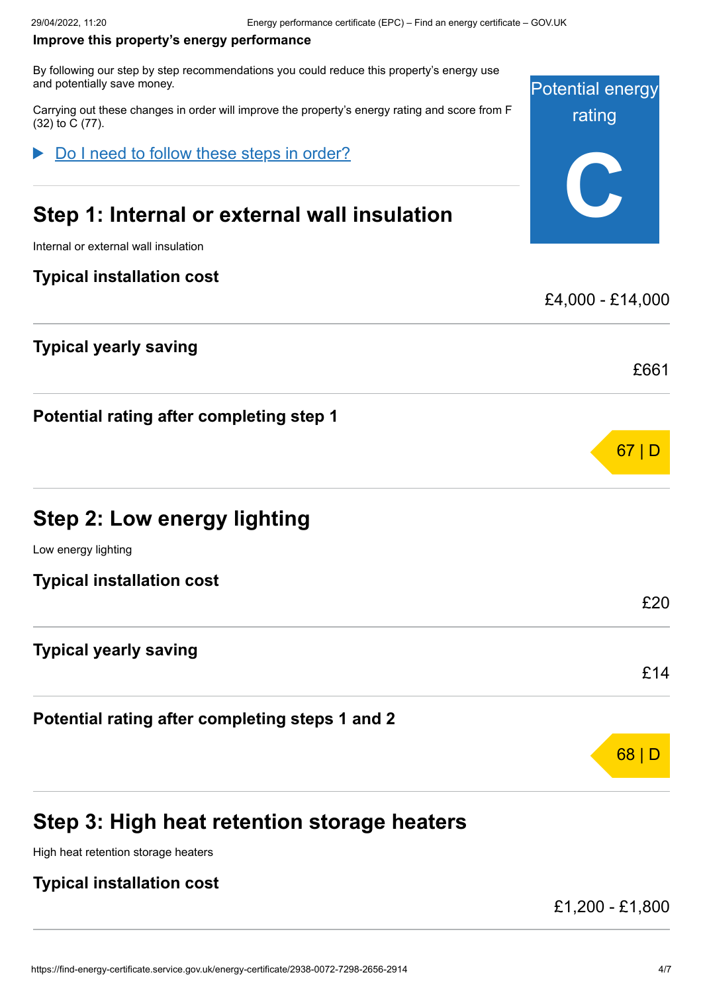#### <span id="page-3-0"></span>**Improve this property's energy performance**

By following our step by step recommendations you could reduce this property's energy use and potentially save money.

Carrying out these changes in order will improve the property's energy rating and score from F (32) to C (77).

Do I need to follow these steps in order?

# **Step 1: Internal or external wall insulation**

Internal or external wall insulation

### **Typical installation cost**

### **Typical yearly saving**

**Potential rating after completing step 1**

# **Step 2: Low energy lighting**

Low energy lighting

**Typical installation cost**

### **Typical yearly saving**

**Potential rating after completing steps 1 and 2**

# **Step 3: High heat retention storage heaters**

High heat retention storage heaters

### **Typical installation cost**

£1,200 - £1,800

Potential energy

rating

**C**

£4,000 - £14,000

£661

67 | D

£20

£14

68 | D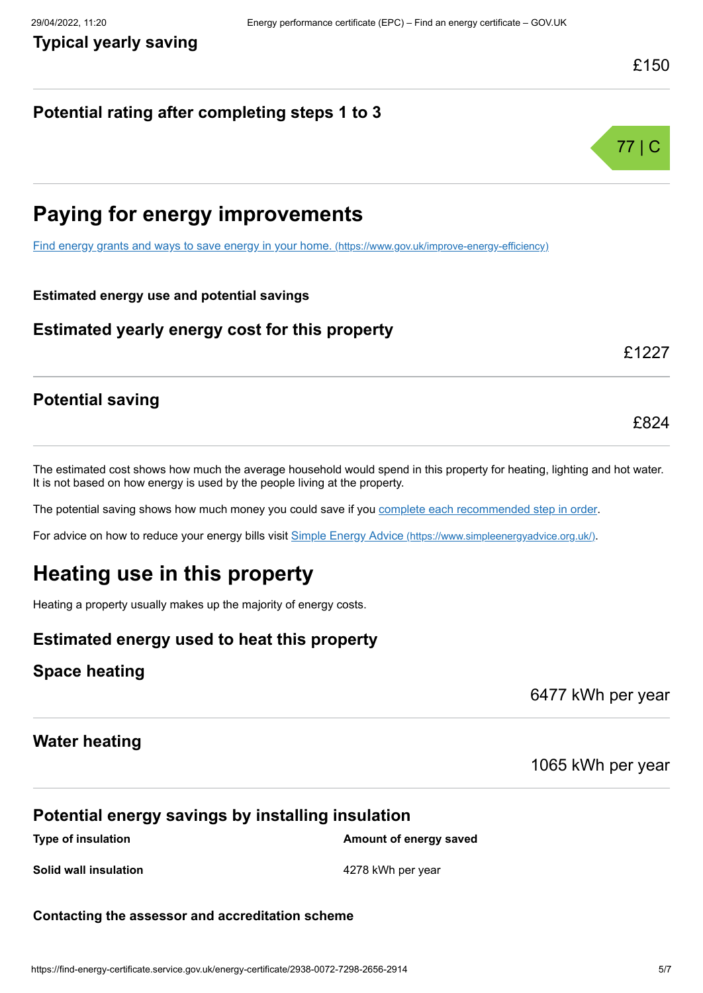77 | C

### **Potential rating after completing steps 1 to 3**



[Find energy grants and ways to save energy in your home.](https://www.gov.uk/improve-energy-efficiency) (https://www.gov.uk/improve-energy-efficiency)

### **Estimated energy use and potential savings**

### **Estimated yearly energy cost for this property**

### £1227

£824

### **Potential saving**

The estimated cost shows how much the average household would spend in this property for heating, lighting and hot water. It is not based on how energy is used by the people living at the property.

The potential saving shows how much money you could save if you [complete each recommended step in order](#page-3-0).

For advice on how to reduce your energy bills visit Simple Energy Advice [\(https://www.simpleenergyadvice.org.uk/\)](https://www.simpleenergyadvice.org.uk/).

# **Heating use in this property**

Heating a property usually makes up the majority of energy costs.

### **Estimated energy used to heat this property**

### **Space heating**

6477 kWh per year

### **Water heating**

### 1065 kWh per year

### **Potential energy savings by installing insulation**

**Type of insulation Amount of energy saved Amount of energy saved** 

**Solid wall insulation 6.1 Collection 4278 kWh per year** 

#### **Contacting the assessor and accreditation scheme**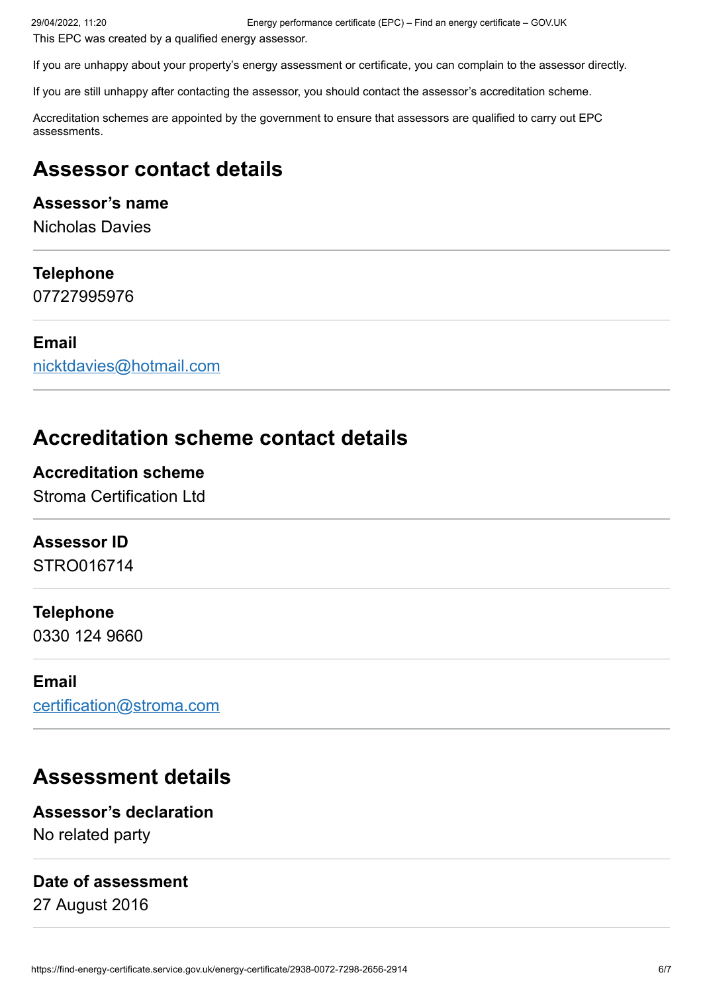This EPC was created by a qualified energy assessor.

If you are unhappy about your property's energy assessment or certificate, you can complain to the assessor directly.

If you are still unhappy after contacting the assessor, you should contact the assessor's accreditation scheme.

Accreditation schemes are appointed by the government to ensure that assessors are qualified to carry out EPC assessments.

### **Assessor contact details**

### **Assessor's name**

Nicholas Davies

### **Telephone**

07727995976

### **Email**

[nicktdavies@hotmail.com](mailto:nicktdavies@hotmail.com)

### **Accreditation scheme contact details**

### **Accreditation scheme**

Stroma Certification Ltd

### **Assessor ID**

STRO016714

### **Telephone**

0330 124 9660

### **Email**

[certification@stroma.com](mailto:certification@stroma.com)

### **Assessment details**

**Assessor's declaration** No related party

### **Date of assessment**

27 August 2016